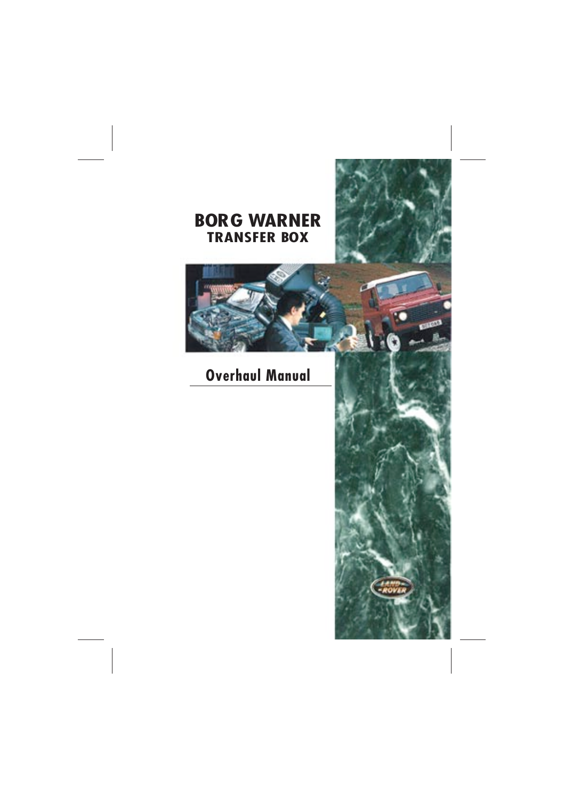# **BORG WARNER TRANSFER BOX**

# **Overhaul Manual**

**CARD**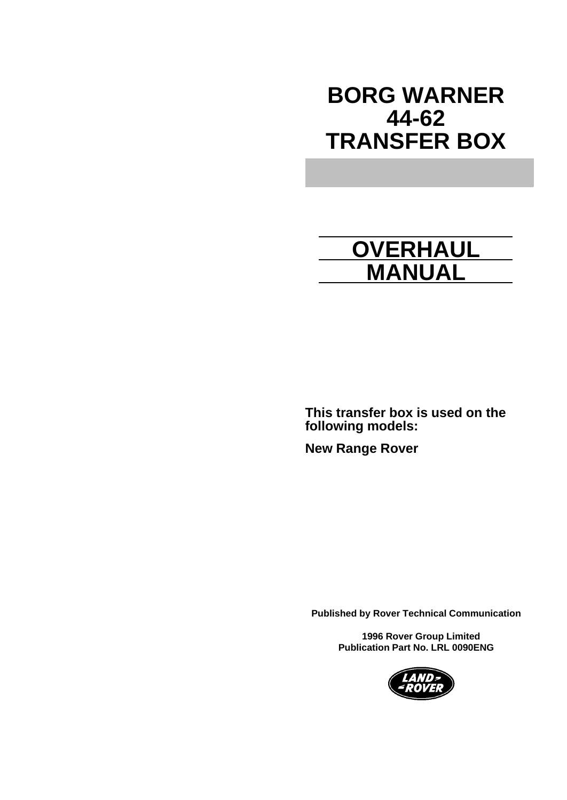# **BORG WARNER 44-62 TRANSFER BOX**

# **OVERHAUL MANUAL**

**This transfer box is used on the following models:**

**New Range Rover**

**Published by Rover Technical Communication**

 **1996 Rover Group Limited Publication Part No. LRL 0090ENG**

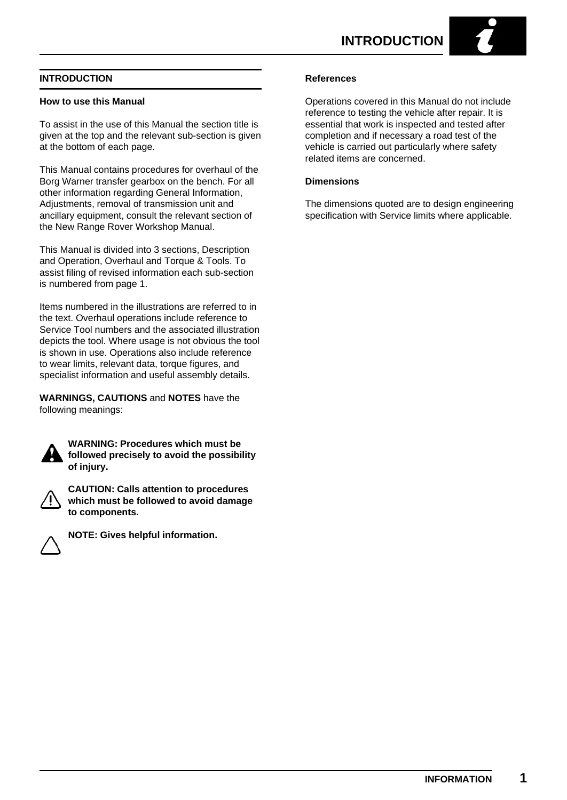#### **INTRODUCTION**

#### **How to use this Manual**

To assist in the use of this Manual the section title is given at the top and the relevant sub-section is given at the bottom of each page.

This Manual contains procedures for overhaul of the Borg Warner transfer gearbox on the bench. For all other information regarding General Information, Adjustments, removal of transmission unit and ancillary equipment, consult the relevant section of the New Range Rover Workshop Manual.

This Manual is divided into 3 sections, Description and Operation, Overhaul and Torque & Tools. To assist filing of revised information each sub-section is numbered from page 1.

Items numbered in the illustrations are referred to in the text. Overhaul operations include reference to Service Tool numbers and the associated illustration depicts the tool. Where usage is not obvious the tool is shown in use. Operations also include reference to wear limits, relevant data, torque figures, and specialist information and useful assembly details.

**WARNINGS, CAUTIONS** and **NOTES** have the following meanings:



**WARNING: Procedures which must be followed precisely to avoid the possibility of injury.**



**CAUTION: Calls attention to procedures which must be followed to avoid damage to components.**



**NOTE: Gives helpful information.**

#### **References**

Operations covered in this Manual do not include reference to testing the vehicle after repair. It is essential that work is inspected and tested after completion and if necessary a road test of the vehicle is carried out particularly where safety related items are concerned.

#### **Dimensions**

The dimensions quoted are to design engineering specification with Service limits where applicable.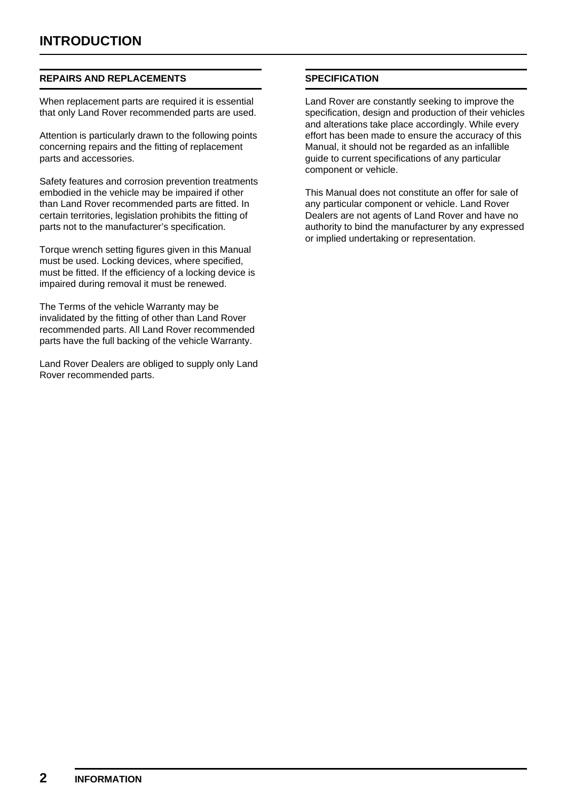#### **REPAIRS AND REPLACEMENTS**

When replacement parts are required it is essential that only Land Rover recommended parts are used.

Attention is particularly drawn to the following points concerning repairs and the fitting of replacement parts and accessories.

Safety features and corrosion prevention treatments embodied in the vehicle may be impaired if other than Land Rover recommended parts are fitted. In certain territories, legislation prohibits the fitting of parts not to the manufacturer's specification.

Torque wrench setting figures given in this Manual must be used. Locking devices, where specified, must be fitted. If the efficiency of a locking device is impaired during removal it must be renewed.

The Terms of the vehicle Warranty may be invalidated by the fitting of other than Land Rover recommended parts. All Land Rover recommended parts have the full backing of the vehicle Warranty.

Land Rover Dealers are obliged to supply only Land Rover recommended parts.

#### **SPECIFICATION**

Land Rover are constantly seeking to improve the specification, design and production of their vehicles and alterations take place accordingly. While every effort has been made to ensure the accuracy of this Manual, it should not be regarded as an infallible guide to current specifications of any particular component or vehicle.

This Manual does not constitute an offer for sale of any particular component or vehicle. Land Rover Dealers are not agents of Land Rover and have no authority to bind the manufacturer by any expressed or implied undertaking or representation.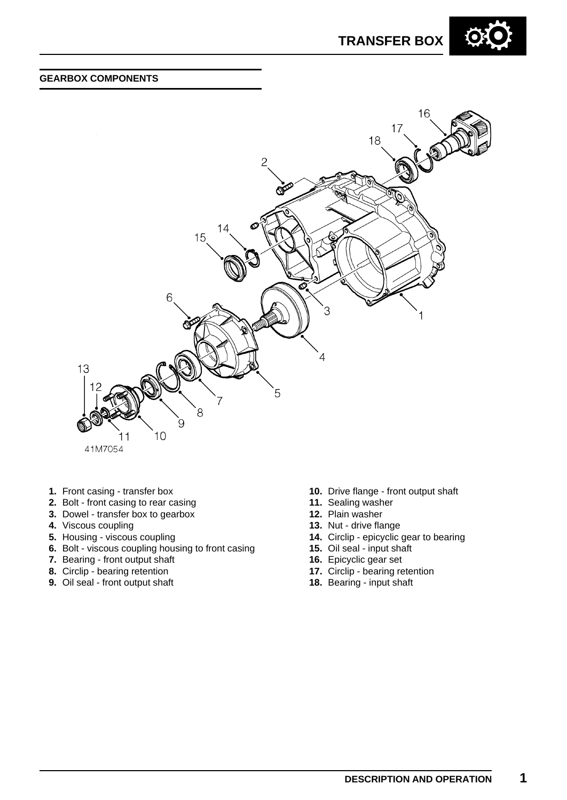

#### **GEARBOX COMPONENTS**



- **1.** Front casing transfer box
- **2.** Bolt front casing to rear casing
- **3.** Dowel transfer box to gearbox
- **4.** Viscous coupling
- **5.** Housing viscous coupling
- **6.** Bolt viscous coupling housing to front casing
- **7.** Bearing front output shaft
- **8.** Circlip bearing retention
- **9.** Oil seal front output shaft
- **10.** Drive flange front output shaft
- **11.** Sealing washer
- **12.** Plain washer
- **13.** Nut drive flange
- **14.** Circlip epicyclic gear to bearing
- **15.** Oil seal input shaft
- **16.** Epicyclic gear set
- **17.** Circlip bearing retention
- **18.** Bearing input shaft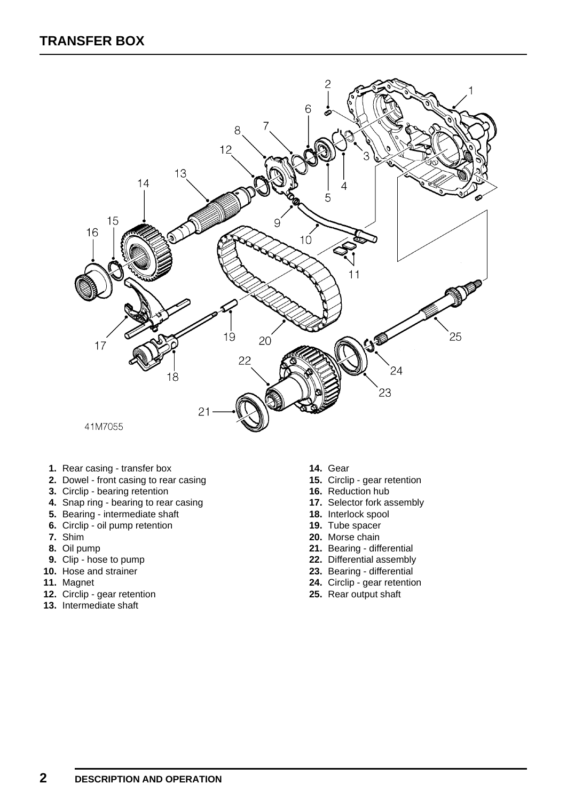

- **1.** Rear casing transfer box
- **2.** Dowel front casing to rear casing
- **3.** Circlip bearing retention
- **4.** Snap ring bearing to rear casing
- **5.** Bearing intermediate shaft
- **6.** Circlip oil pump retention
- **7.** Shim
- **8.** Oil pump
- **9.** Clip hose to pump
- **10.** Hose and strainer
- **11.** Magnet
- **12.** Circlip gear retention
- **13.** Intermediate shaft
- **14.** Gear
- **15.** Circlip gear retention
- **16.** Reduction hub
- **17.** Selector fork assembly
- **18.** Interlock spool
- **19.** Tube spacer
- **20.** Morse chain
- **21.** Bearing differential
- **22.** Differential assembly
- **23.** Bearing differential
- **24.** Circlip gear retention
- **25.** Rear output shaft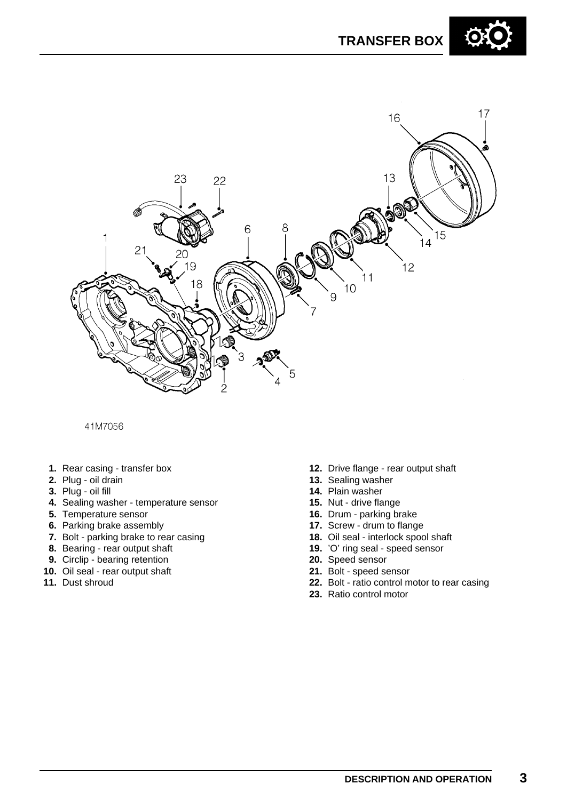



#### 41M7056

- **1.** Rear casing transfer box
- **2.** Plug oil drain
- **3.** Plug oil fill
- **4.** Sealing washer temperature sensor
- **5.** Temperature sensor
- **6.** Parking brake assembly
- **7.** Bolt parking brake to rear casing
- **8.** Bearing rear output shaft
- **9.** Circlip bearing retention
- **10.** Oil seal rear output shaft
- **11.** Dust shroud
- **12.** Drive flange rear output shaft
- **13.** Sealing washer
- **14.** Plain washer
- **15.** Nut drive flange
- **16.** Drum parking brake
- **17.** Screw drum to flange
- **18.** Oil seal interlock spool shaft
- **19.** 'O' ring seal speed sensor
- **20.** Speed sensor
- **21.** Bolt speed sensor
- **22.** Bolt ratio control motor to rear casing
- **23.** Ratio control motor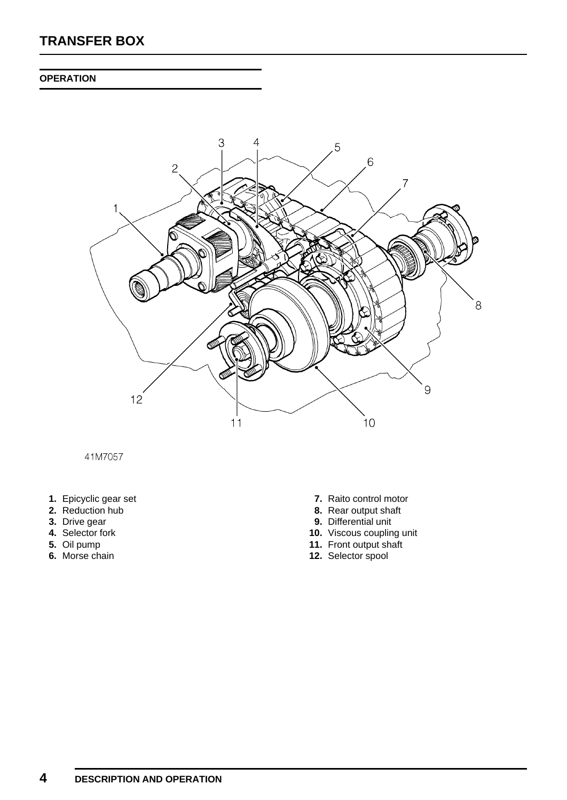#### **OPERATION**



41M7057

- **1.** Epicyclic gear set
- **2.** Reduction hub
- **3.** Drive gear
- **4.** Selector fork
- **5.** Oil pump
- **6.** Morse chain
- **7.** Raito control motor
- **8.** Rear output shaft
- **9.** Differential unit
- **10.** Viscous coupling unit
- **11.** Front output shaft
- **12.** Selector spool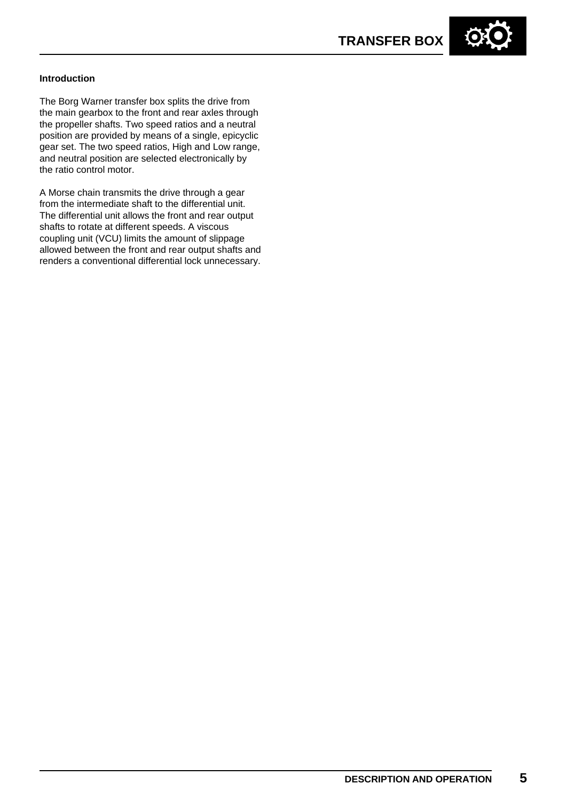

#### **Introduction**

The Borg Warner transfer box splits the drive from the main gearbox to the front and rear axles through the propeller shafts. Two speed ratios and a neutral position are provided by means of a single, epicyclic gear set. The two speed ratios, High and Low range, and neutral position are selected electronically by the ratio control motor.

A Morse chain transmits the drive through a gear from the intermediate shaft to the differential unit. The differential unit allows the front and rear output shafts to rotate at different speeds. A viscous coupling unit (VCU) limits the amount of slippage allowed between the front and rear output shafts and renders a conventional differential lock unnecessary.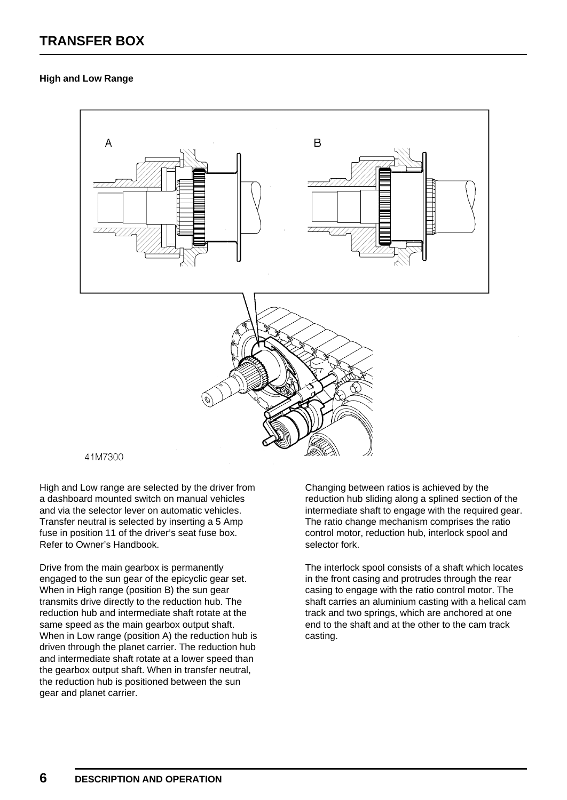#### **High and Low Range**



High and Low range are selected by the driver from a dashboard mounted switch on manual vehicles and via the selector lever on automatic vehicles. Transfer neutral is selected by inserting a 5 Amp fuse in position 11 of the driver's seat fuse box. Refer to Owner's Handbook.

Drive from the main gearbox is permanently engaged to the sun gear of the epicyclic gear set. When in High range (position B) the sun gear transmits drive directly to the reduction hub. The reduction hub and intermediate shaft rotate at the same speed as the main gearbox output shaft. When in Low range (position A) the reduction hub is driven through the planet carrier. The reduction hub and intermediate shaft rotate at a lower speed than the gearbox output shaft. When in transfer neutral, the reduction hub is positioned between the sun gear and planet carrier.

Changing between ratios is achieved by the reduction hub sliding along a splined section of the intermediate shaft to engage with the required gear. The ratio change mechanism comprises the ratio control motor, reduction hub, interlock spool and selector fork.

The interlock spool consists of a shaft which locates in the front casing and protrudes through the rear casing to engage with the ratio control motor. The shaft carries an aluminium casting with a helical cam track and two springs, which are anchored at one end to the shaft and at the other to the cam track casting.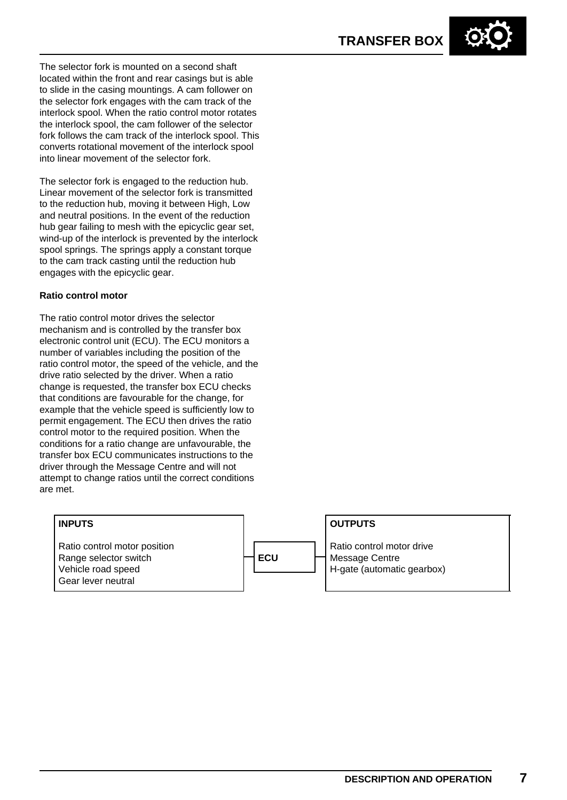The selector fork is mounted on a second shaft located within the front and rear casings but is able to slide in the casing mountings. A cam follower on the selector fork engages with the cam track of the interlock spool. When the ratio control motor rotates the interlock spool, the cam follower of the selector fork follows the cam track of the interlock spool. This converts rotational movement of the interlock spool into linear movement of the selector fork.

The selector fork is engaged to the reduction hub. Linear movement of the selector fork is transmitted to the reduction hub, moving it between High, Low and neutral positions. In the event of the reduction hub gear failing to mesh with the epicyclic gear set, wind-up of the interlock is prevented by the interlock spool springs. The springs apply a constant torque to the cam track casting until the reduction hub engages with the epicyclic gear.

#### **Ratio control motor**

The ratio control motor drives the selector mechanism and is controlled by the transfer box electronic control unit (ECU). The ECU monitors a number of variables including the position of the ratio control motor, the speed of the vehicle, and the drive ratio selected by the driver. When a ratio change is requested, the transfer box ECU checks that conditions are favourable for the change, for example that the vehicle speed is sufficiently low to permit engagement. The ECU then drives the ratio control motor to the required position. When the conditions for a ratio change are unfavourable, the transfer box ECU communicates instructions to the driver through the Message Centre and will not attempt to change ratios until the correct conditions are met.

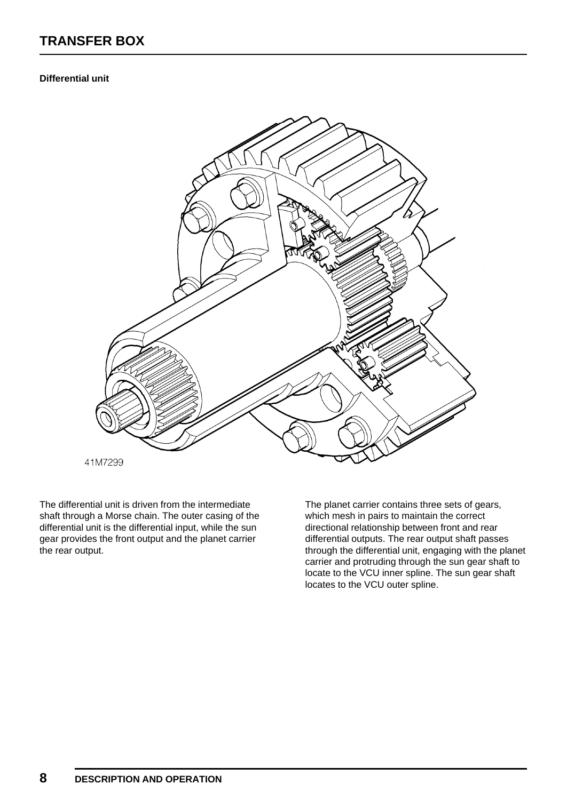#### **Differential unit**



The differential unit is driven from the intermediate shaft through a Morse chain. The outer casing of the differential unit is the differential input, while the sun gear provides the front output and the planet carrier the rear output.

The planet carrier contains three sets of gears, which mesh in pairs to maintain the correct directional relationship between front and rear differential outputs. The rear output shaft passes through the differential unit, engaging with the planet carrier and protruding through the sun gear shaft to locate to the VCU inner spline. The sun gear shaft locates to the VCU outer spline.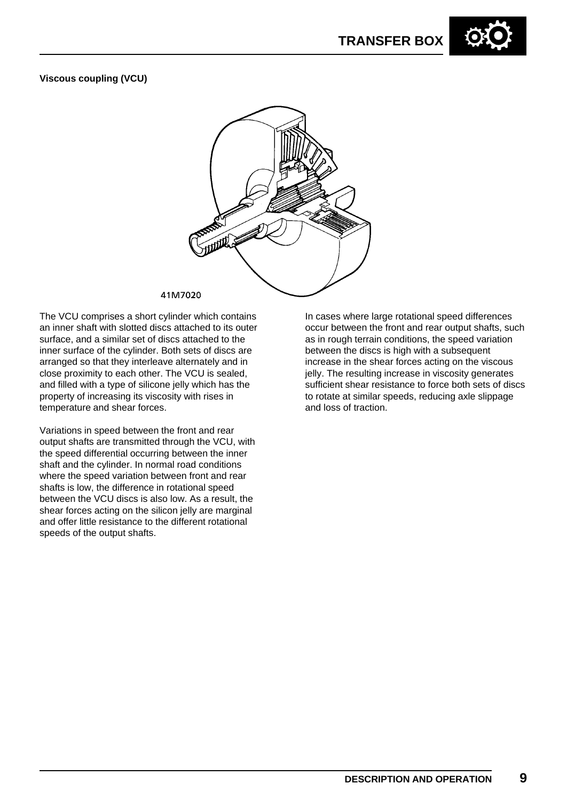#### **Viscous coupling (VCU)**



#### 41M7020

The VCU comprises a short cylinder which contains an inner shaft with slotted discs attached to its outer surface, and a similar set of discs attached to the inner surface of the cylinder. Both sets of discs are arranged so that they interleave alternately and in close proximity to each other. The VCU is sealed, and filled with a type of silicone jelly which has the property of increasing its viscosity with rises in temperature and shear forces.

Variations in speed between the front and rear output shafts are transmitted through the VCU, with the speed differential occurring between the inner shaft and the cylinder. In normal road conditions where the speed variation between front and rear shafts is low, the difference in rotational speed between the VCU discs is also low. As a result, the shear forces acting on the silicon jelly are marginal and offer little resistance to the different rotational speeds of the output shafts.

In cases where large rotational speed differences occur between the front and rear output shafts, such as in rough terrain conditions, the speed variation between the discs is high with a subsequent increase in the shear forces acting on the viscous jelly. The resulting increase in viscosity generates sufficient shear resistance to force both sets of discs to rotate at similar speeds, reducing axle slippage and loss of traction.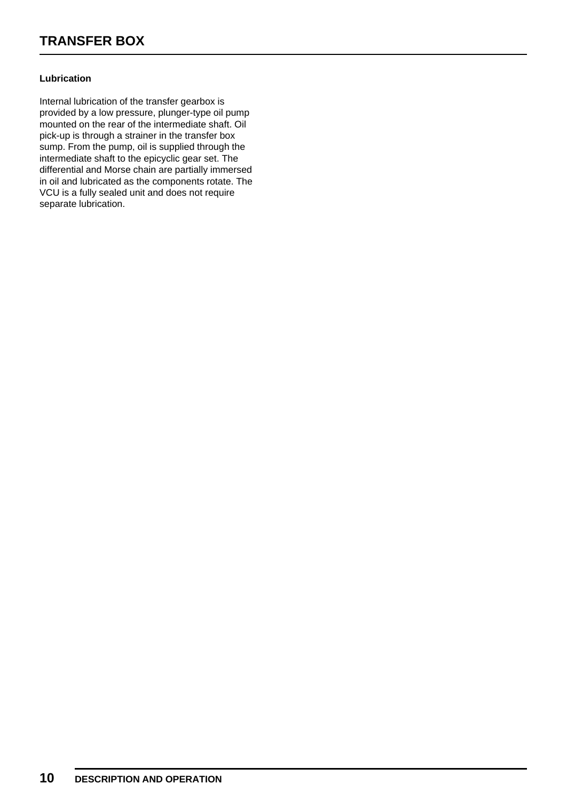#### **Lubrication**

Internal lubrication of the transfer gearbox is provided by a low pressure, plunger-type oil pump mounted on the rear of the intermediate shaft. Oil pick-up is through a strainer in the transfer box sump. From the pump, oil is supplied through the intermediate shaft to the epicyclic gear set. The differential and Morse chain are partially immersed in oil and lubricated as the components rotate. The VCU is a fully sealed unit and does not require separate lubrication.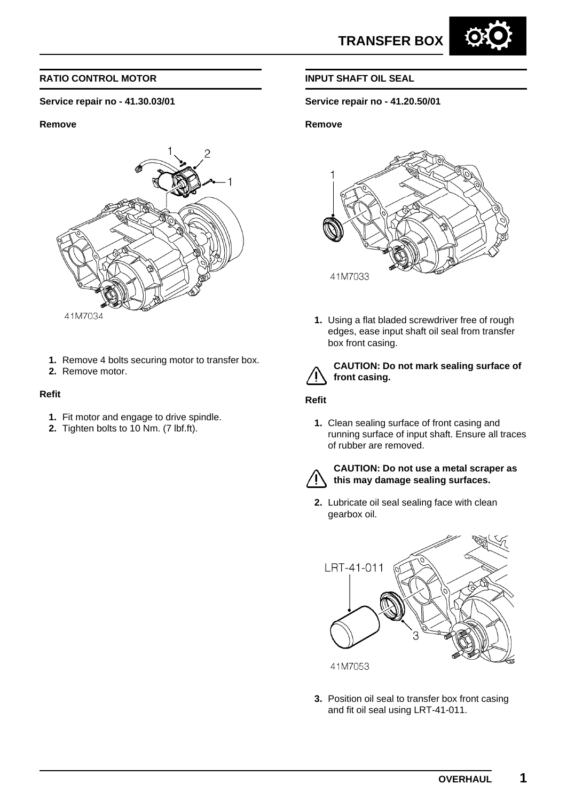

#### **Service repair no - 41.30.03/01**

#### **Remove**



- **1.** Remove 4 bolts securing motor to transfer box.
- **2.** Remove motor.

#### **Refit**

- **1.** Fit motor and engage to drive spindle.
- **2.** Tighten bolts to 10 Nm. (7 lbf.ft).

#### **INPUT SHAFT OIL SEAL**

#### **Service repair no - 41.20.50/01**

#### **Remove**



**1.** Using a flat bladed screwdriver free of rough edges, ease input shaft oil seal from transfer box front casing.



#### **CAUTION: Do not mark sealing surface of front casing.**

#### **Refit**

**1.** Clean sealing surface of front casing and running surface of input shaft. Ensure all traces of rubber are removed.



#### **CAUTION: Do not use a metal scraper as this may damage sealing surfaces.**

**2.** Lubricate oil seal sealing face with clean gearbox oil.



**3.** Position oil seal to transfer box front casing and fit oil seal using LRT-41-011.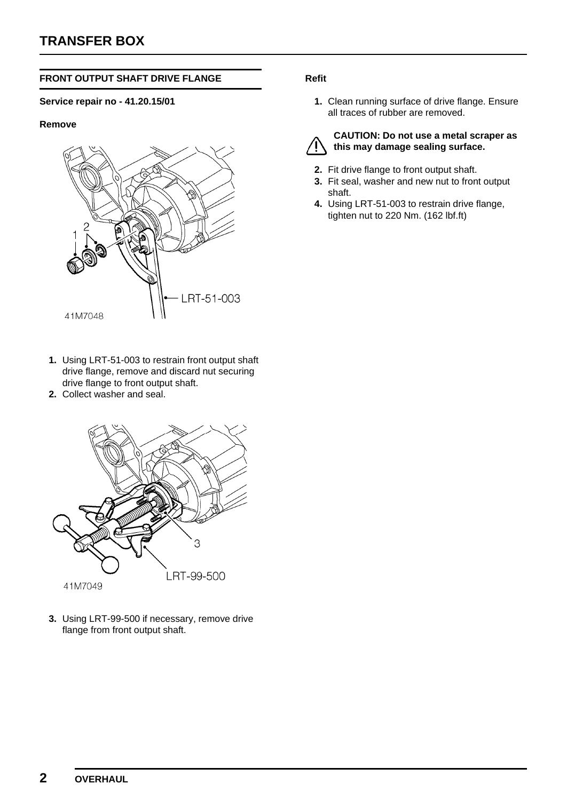#### **FRONT OUTPUT SHAFT DRIVE FLANGE**

#### **Service repair no - 41.20.15/01**

#### **Remove**



- **1.** Using LRT-51-003 to restrain front output shaft drive flange, remove and discard nut securing drive flange to front output shaft.
- **2.** Collect washer and seal.



**3.** Using LRT-99-500 if necessary, remove drive flange from front output shaft.

#### **Refit**

**1.** Clean running surface of drive flange. Ensure all traces of rubber are removed.



#### **CAUTION: Do not use a metal scraper as this may damage sealing surface.**

- **2.** Fit drive flange to front output shaft.
- **3.** Fit seal, washer and new nut to front output shaft.
- **4.** Using LRT-51-003 to restrain drive flange, tighten nut to 220 Nm. (162 lbf.ft)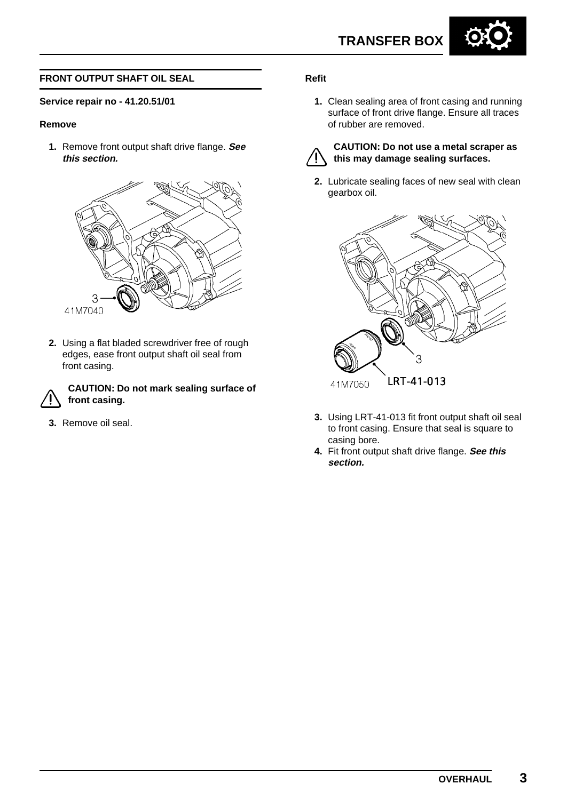

#### **FRONT OUTPUT SHAFT OIL SEAL**

#### **Service repair no - 41.20.51/01**

#### **Remove**

**1.** Remove front output shaft drive flange. **See this section.**



**2.** Using a flat bladed screwdriver free of rough edges, ease front output shaft oil seal from front casing.

**CAUTION: Do not mark sealing surface of front casing.**

**3.** Remove oil seal.

#### **Refit**

**1.** Clean sealing area of front casing and running surface of front drive flange. Ensure all traces of rubber are removed.



#### **CAUTION: Do not use a metal scraper as this may damage sealing surfaces.**

**2.** Lubricate sealing faces of new seal with clean gearbox oil.



- **3.** Using LRT-41-013 fit front output shaft oil seal to front casing. Ensure that seal is square to casing bore.
- **4.** Fit front output shaft drive flange. **See this section.**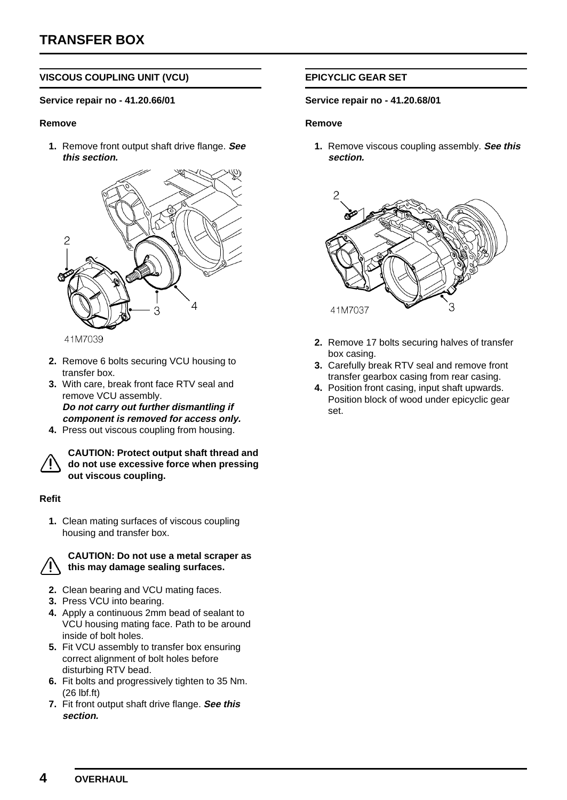#### **VISCOUS COUPLING UNIT (VCU)**

#### **Service repair no - 41.20.66/01**

#### **Remove**

**1.** Remove front output shaft drive flange. **See this section.**



41M7039

- **2.** Remove 6 bolts securing VCU housing to transfer box.
- **3.** With care, break front face RTV seal and remove VCU assembly. **Do not carry out further dismantling if component is removed for access only.**
- **4.** Press out viscous coupling from housing.



**CAUTION: Protect output shaft thread and do not use excessive force when pressing out viscous coupling.**

#### **Refit**

**1.** Clean mating surfaces of viscous coupling housing and transfer box.



#### **CAUTION: Do not use a metal scraper as this may damage sealing surfaces.**

- **2.** Clean bearing and VCU mating faces.
- **3.** Press VCU into bearing.
- **4.** Apply a continuous 2mm bead of sealant to VCU housing mating face. Path to be around inside of bolt holes.
- **5.** Fit VCU assembly to transfer box ensuring correct alignment of bolt holes before disturbing RTV bead.
- **6.** Fit bolts and progressively tighten to 35 Nm. (26 lbf.ft)
- **7.** Fit front output shaft drive flange. **See this section.**

#### **EPICYCLIC GEAR SET**

#### **Service repair no - 41.20.68/01**

#### **Remove**

**1.** Remove viscous coupling assembly. **See this section.**



- **2.** Remove 17 bolts securing halves of transfer box casing.
- **3.** Carefully break RTV seal and remove front transfer gearbox casing from rear casing.
- **4.** Position front casing, input shaft upwards. Position block of wood under epicyclic gear set.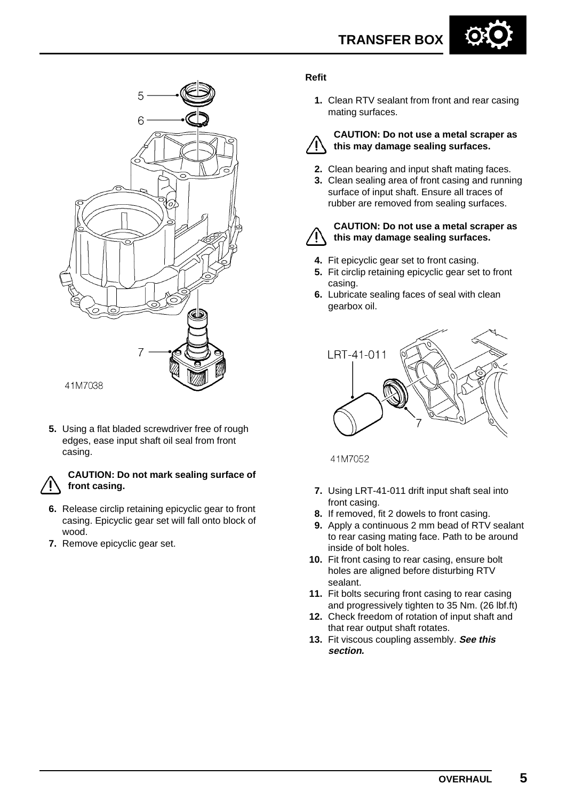



**5.** Using a flat bladed screwdriver free of rough edges, ease input shaft oil seal from front casing.

#### **CAUTION: Do not mark sealing surface of front casing.**

- **6.** Release circlip retaining epicyclic gear to front casing. Epicyclic gear set will fall onto block of wood.
- **7.** Remove epicyclic gear set.

#### **Refit**

**1.** Clean RTV sealant from front and rear casing mating surfaces.



#### **CAUTION: Do not use a metal scraper as this may damage sealing surfaces.**

- **2.** Clean bearing and input shaft mating faces.
- **3.** Clean sealing area of front casing and running surface of input shaft. Ensure all traces of rubber are removed from sealing surfaces.



#### **CAUTION: Do not use a metal scraper as this may damage sealing surfaces.**

- **4.** Fit epicyclic gear set to front casing.
- **5.** Fit circlip retaining epicyclic gear set to front casing.
- **6.** Lubricate sealing faces of seal with clean gearbox oil.



41M7052

- **7.** Using LRT-41-011 drift input shaft seal into front casing.
- **8.** If removed, fit 2 dowels to front casing.
- **9.** Apply a continuous 2 mm bead of RTV sealant to rear casing mating face. Path to be around inside of bolt holes.
- **10.** Fit front casing to rear casing, ensure bolt holes are aligned before disturbing RTV sealant.
- **11.** Fit bolts securing front casing to rear casing and progressively tighten to 35 Nm. (26 lbf.ft)
- **12.** Check freedom of rotation of input shaft and that rear output shaft rotates.
- **13.** Fit viscous coupling assembly. **See this section.**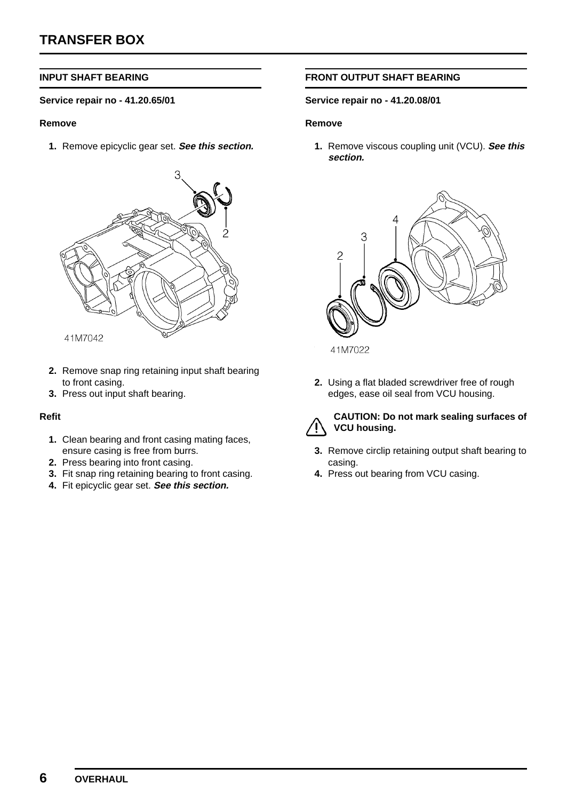#### **INPUT SHAFT BEARING**

#### **Service repair no - 41.20.65/01**

#### **Remove**

**1.** Remove epicyclic gear set. **See this section.**



- **2.** Remove snap ring retaining input shaft bearing to front casing.
- **3.** Press out input shaft bearing.

#### **Refit**

- **1.** Clean bearing and front casing mating faces, ensure casing is free from burrs.
- **2.** Press bearing into front casing.
- **3.** Fit snap ring retaining bearing to front casing.
- **4.** Fit epicyclic gear set. **See this section.**

#### **FRONT OUTPUT SHAFT BEARING**

#### **Service repair no - 41.20.08/01**

#### **Remove**

**1.** Remove viscous coupling unit (VCU). **See this section.**



41M7022

**2.** Using a flat bladed screwdriver free of rough edges, ease oil seal from VCU housing.



#### **CAUTION: Do not mark sealing surfaces of VCU housing.**

- **3.** Remove circlip retaining output shaft bearing to casing.
- **4.** Press out bearing from VCU casing.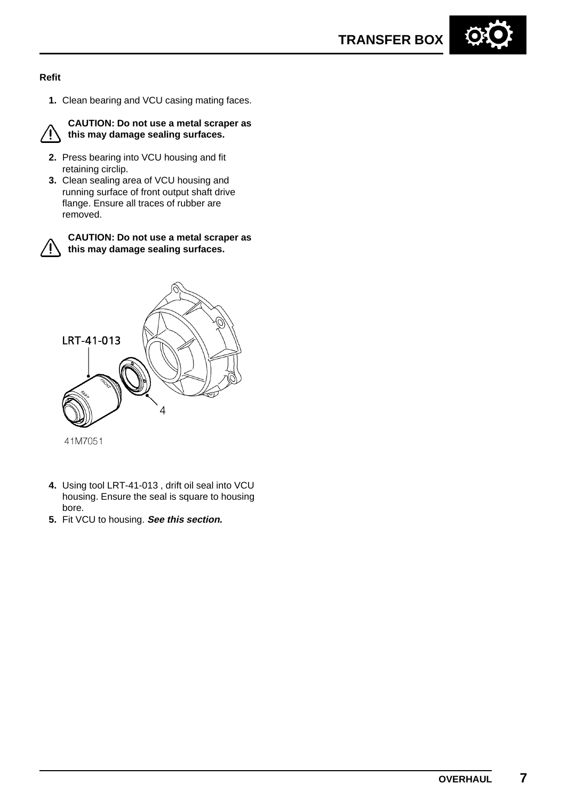#### **Refit**

**1.** Clean bearing and VCU casing mating faces.



**CAUTION: Do not use a metal scraper as this may damage sealing surfaces.**

- **2.** Press bearing into VCU housing and fit retaining circlip.
- **3.** Clean sealing area of VCU housing and running surface of front output shaft drive flange. Ensure all traces of rubber are removed.



**CAUTION: Do not use a metal scraper as this may damage sealing surfaces.**



- 
- **4.** Using tool LRT-41-013 , drift oil seal into VCU housing. Ensure the seal is square to housing bore.
- **5.** Fit VCU to housing. **See this section.**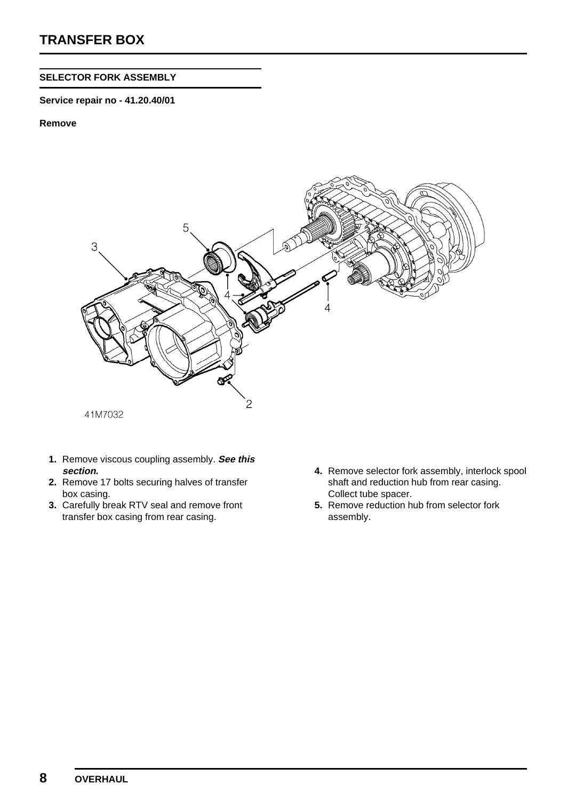#### **SELECTOR FORK ASSEMBLY**

#### **Service repair no - 41.20.40/01**

#### **Remove**



- **1.** Remove viscous coupling assembly. **See this section.**
- **2.** Remove 17 bolts securing halves of transfer box casing.
- **3.** Carefully break RTV seal and remove front transfer box casing from rear casing.
- **4.** Remove selector fork assembly, interlock spool shaft and reduction hub from rear casing. Collect tube spacer.
- **5.** Remove reduction hub from selector fork assembly.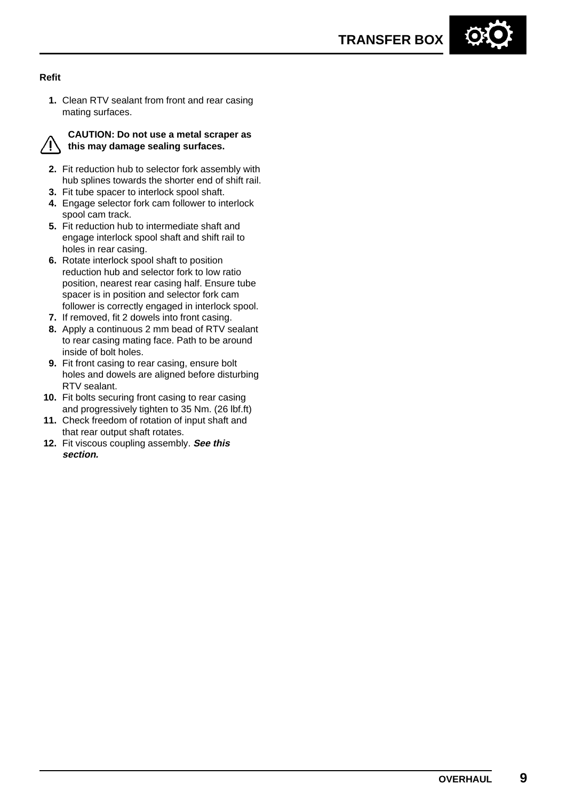#### **Refit**

**1.** Clean RTV sealant from front and rear casing mating surfaces.



#### **CAUTION: Do not use a metal scraper as this may damage sealing surfaces.**

- **2.** Fit reduction hub to selector fork assembly with hub splines towards the shorter end of shift rail.
- **3.** Fit tube spacer to interlock spool shaft.
- **4.** Engage selector fork cam follower to interlock spool cam track.
- **5.** Fit reduction hub to intermediate shaft and engage interlock spool shaft and shift rail to holes in rear casing.
- **6.** Rotate interlock spool shaft to position reduction hub and selector fork to low ratio position, nearest rear casing half. Ensure tube spacer is in position and selector fork cam follower is correctly engaged in interlock spool.
- **7.** If removed, fit 2 dowels into front casing.
- **8.** Apply a continuous 2 mm bead of RTV sealant to rear casing mating face. Path to be around inside of bolt holes.
- **9.** Fit front casing to rear casing, ensure bolt holes and dowels are aligned before disturbing RTV sealant.
- **10.** Fit bolts securing front casing to rear casing and progressively tighten to 35 Nm. (26 lbf.ft)
- **11.** Check freedom of rotation of input shaft and that rear output shaft rotates.
- **12.** Fit viscous coupling assembly. **See this section.**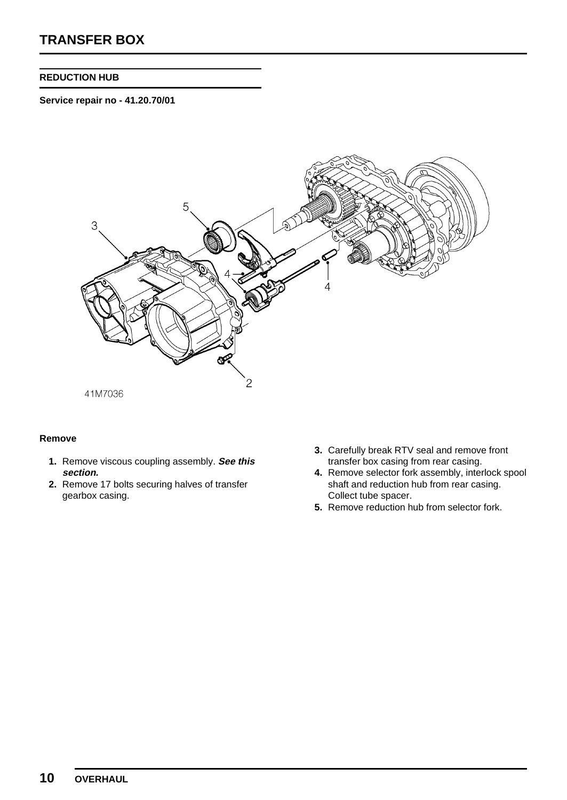#### **REDUCTION HUB**

**Service repair no - 41.20.70/01**



#### **Remove**

- **1.** Remove viscous coupling assembly. **See this section.**
- **2.** Remove 17 bolts securing halves of transfer gearbox casing.
- **3.** Carefully break RTV seal and remove front transfer box casing from rear casing.
- **4.** Remove selector fork assembly, interlock spool shaft and reduction hub from rear casing. Collect tube spacer.
- **5.** Remove reduction hub from selector fork.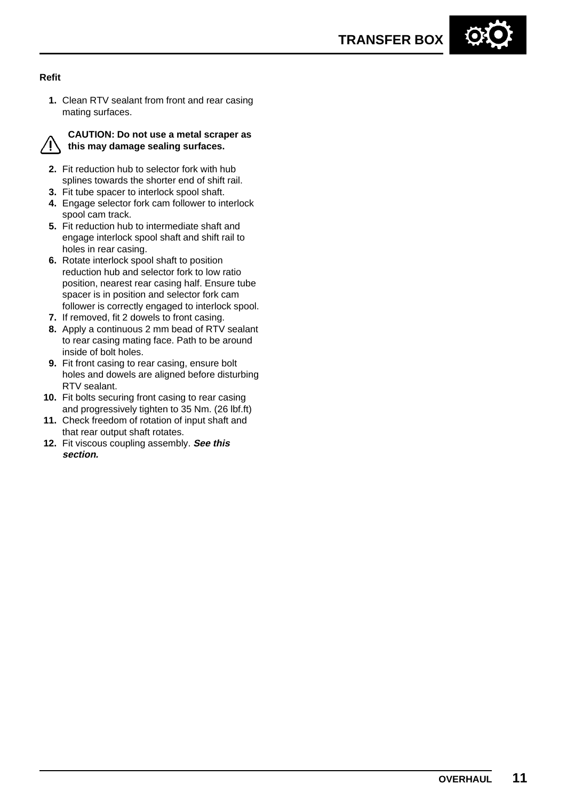#### **Refit**

**1.** Clean RTV sealant from front and rear casing mating surfaces.



#### **CAUTION: Do not use a metal scraper as this may damage sealing surfaces.**

- **2.** Fit reduction hub to selector fork with hub splines towards the shorter end of shift rail.
- **3.** Fit tube spacer to interlock spool shaft.
- **4.** Engage selector fork cam follower to interlock spool cam track.
- **5.** Fit reduction hub to intermediate shaft and engage interlock spool shaft and shift rail to holes in rear casing.
- **6.** Rotate interlock spool shaft to position reduction hub and selector fork to low ratio position, nearest rear casing half. Ensure tube spacer is in position and selector fork cam follower is correctly engaged to interlock spool.
- **7.** If removed, fit 2 dowels to front casing.
- **8.** Apply a continuous 2 mm bead of RTV sealant to rear casing mating face. Path to be around inside of bolt holes.
- **9.** Fit front casing to rear casing, ensure bolt holes and dowels are aligned before disturbing RTV sealant.
- **10.** Fit bolts securing front casing to rear casing and progressively tighten to 35 Nm. (26 lbf.ft)
- **11.** Check freedom of rotation of input shaft and that rear output shaft rotates.
- **12.** Fit viscous coupling assembly. **See this section.**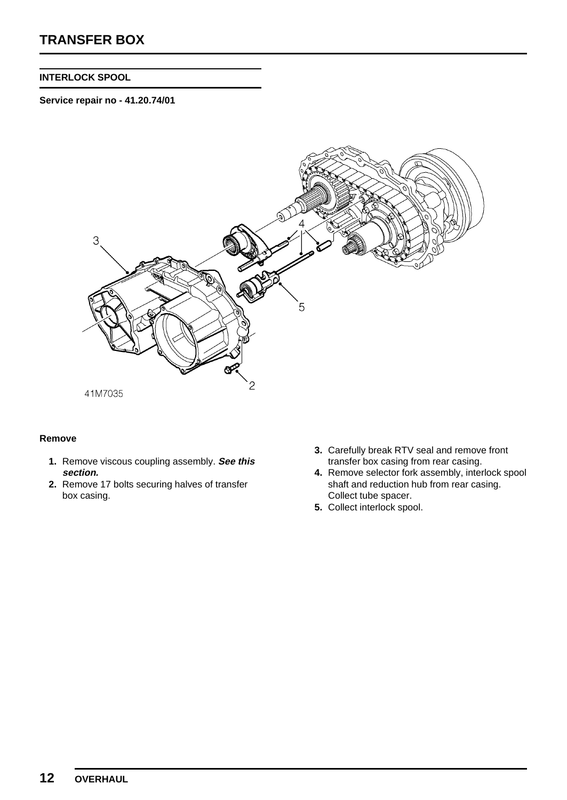#### **INTERLOCK SPOOL**

**Service repair no - 41.20.74/01**



#### **Remove**

- **1.** Remove viscous coupling assembly. **See this section.**
- **2.** Remove 17 bolts securing halves of transfer box casing.
- **3.** Carefully break RTV seal and remove front transfer box casing from rear casing.
- **4.** Remove selector fork assembly, interlock spool shaft and reduction hub from rear casing. Collect tube spacer.
- **5.** Collect interlock spool.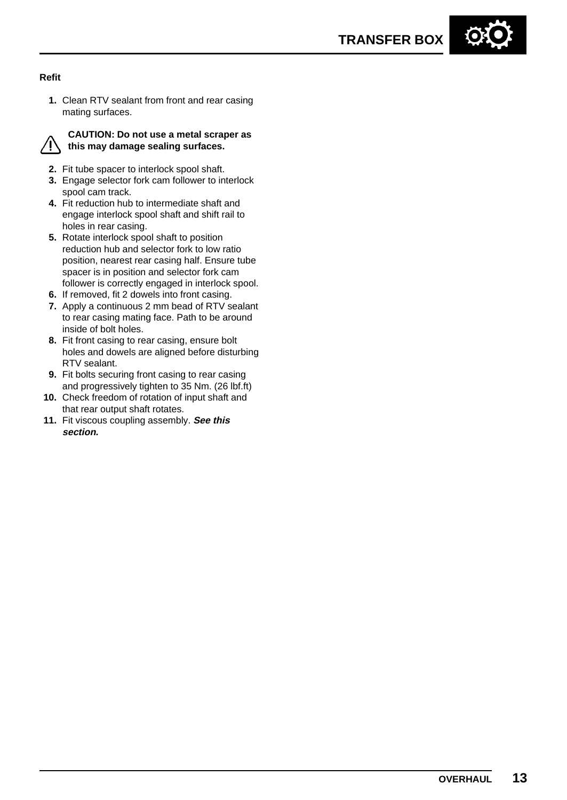

**1.** Clean RTV sealant from front and rear casing mating surfaces.



#### **CAUTION: Do not use a metal scraper as this may damage sealing surfaces.**

- **2.** Fit tube spacer to interlock spool shaft.
- **3.** Engage selector fork cam follower to interlock spool cam track.
- **4.** Fit reduction hub to intermediate shaft and engage interlock spool shaft and shift rail to holes in rear casing.
- **5.** Rotate interlock spool shaft to position reduction hub and selector fork to low ratio position, nearest rear casing half. Ensure tube spacer is in position and selector fork cam follower is correctly engaged in interlock spool.
- **6.** If removed, fit 2 dowels into front casing.
- **7.** Apply a continuous 2 mm bead of RTV sealant to rear casing mating face. Path to be around inside of bolt holes.
- **8.** Fit front casing to rear casing, ensure bolt holes and dowels are aligned before disturbing RTV sealant.
- **9.** Fit bolts securing front casing to rear casing and progressively tighten to 35 Nm. (26 lbf.ft)
- **10.** Check freedom of rotation of input shaft and that rear output shaft rotates.
- **11.** Fit viscous coupling assembly. **See this section.**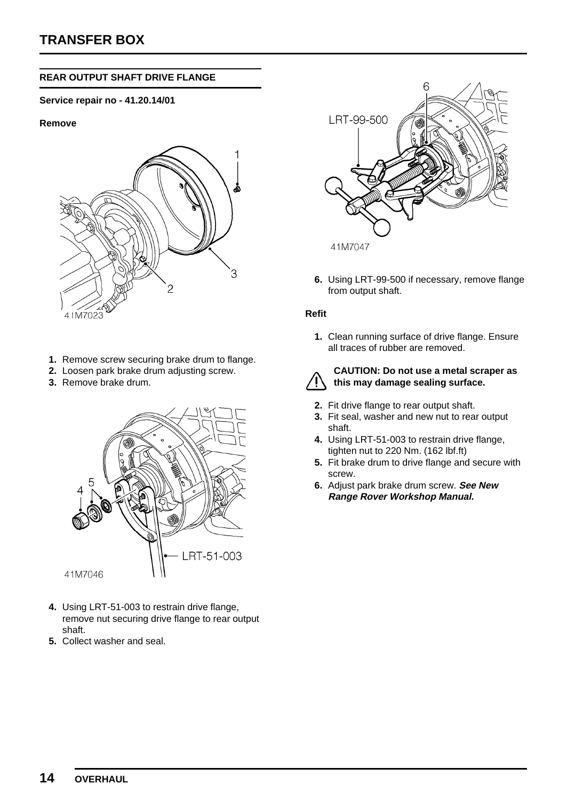#### **REAR OUTPUT SHAFT DRIVE FLANGE**

#### **Service repair no - 41.20.14/01**

#### **Remove**



- **1.** Remove screw securing brake drum to flange.
- **2.** Loosen park brake drum adjusting screw.
- **3.** Remove brake drum.



- **4.** Using LRT-51-003 to restrain drive flange, remove nut securing drive flange to rear output shaft.
- **5.** Collect washer and seal.



**6.** Using LRT-99-500 if necessary, remove flange from output shaft.

#### **Refit**

**1.** Clean running surface of drive flange. Ensure all traces of rubber are removed.



#### **CAUTION: Do not use a metal scraper as this may damage sealing surface.**

- **2.** Fit drive flange to rear output shaft.
- **3.** Fit seal, washer and new nut to rear output shaft.
- **4.** Using LRT-51-003 to restrain drive flange, tighten nut to 220 Nm. (162 lbf.ft)
- **5.** Fit brake drum to drive flange and secure with screw.
- **6.** Adjust park brake drum screw. **See New Range Rover Workshop Manual.**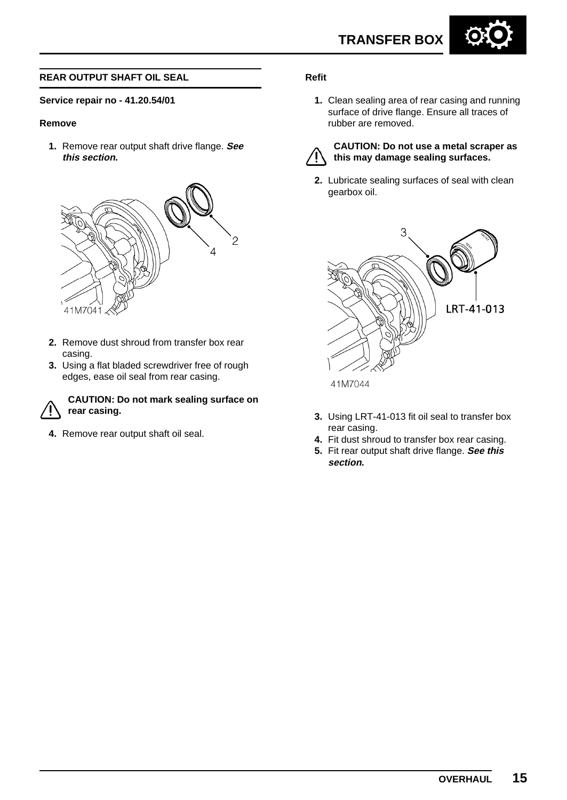

#### **REAR OUTPUT SHAFT OIL SEAL**

#### **Service repair no - 41.20.54/01**

#### **Remove**

**1.** Remove rear output shaft drive flange. **See this section.**



- **2.** Remove dust shroud from transfer box rear casing.
- **3.** Using a flat bladed screwdriver free of rough edges, ease oil seal from rear casing.



#### **CAUTION: Do not mark sealing surface on rear casing.**

**4.** Remove rear output shaft oil seal.

#### **Refit**

**1.** Clean sealing area of rear casing and running surface of drive flange. Ensure all traces of rubber are removed.



#### **CAUTION: Do not use a metal scraper as this may damage sealing surfaces.**

**2.** Lubricate sealing surfaces of seal with clean gearbox oil.



**3.** Using LRT-41-013 fit oil seal to transfer box rear casing.

- **4.** Fit dust shroud to transfer box rear casing.
- **5.** Fit rear output shaft drive flange. **See this section.**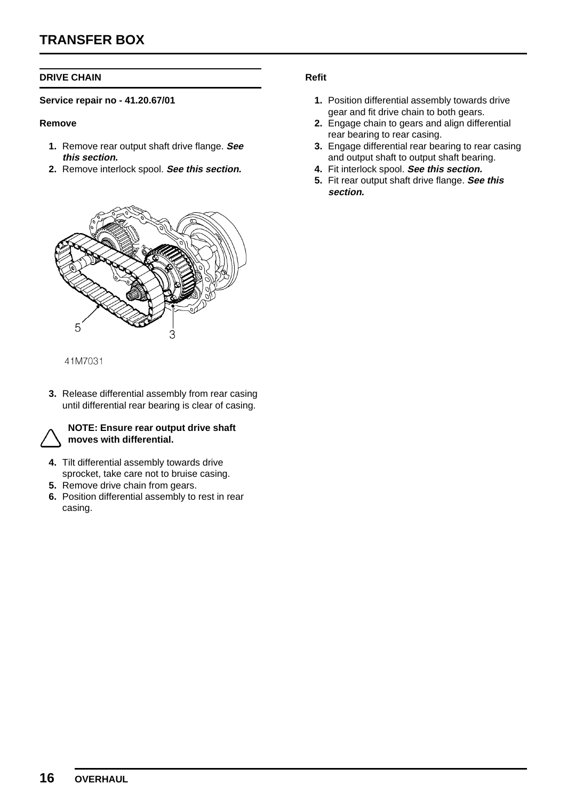#### **DRIVE CHAIN**

#### **Service repair no - 41.20.67/01**

#### **Remove**

- **1.** Remove rear output shaft drive flange. **See this section.**
- **2.** Remove interlock spool. **See this section.**



#### 41M7031

**3.** Release differential assembly from rear casing until differential rear bearing is clear of casing.



#### **NOTE: Ensure rear output drive shaft moves with differential.**

- **4.** Tilt differential assembly towards drive sprocket, take care not to bruise casing.
- **5.** Remove drive chain from gears.
- **6.** Position differential assembly to rest in rear casing.

- **1.** Position differential assembly towards drive gear and fit drive chain to both gears.
- **2.** Engage chain to gears and align differential rear bearing to rear casing.
- **3.** Engage differential rear bearing to rear casing and output shaft to output shaft bearing.
- **4.** Fit interlock spool. **See this section.**
- **5.** Fit rear output shaft drive flange. **See this section.**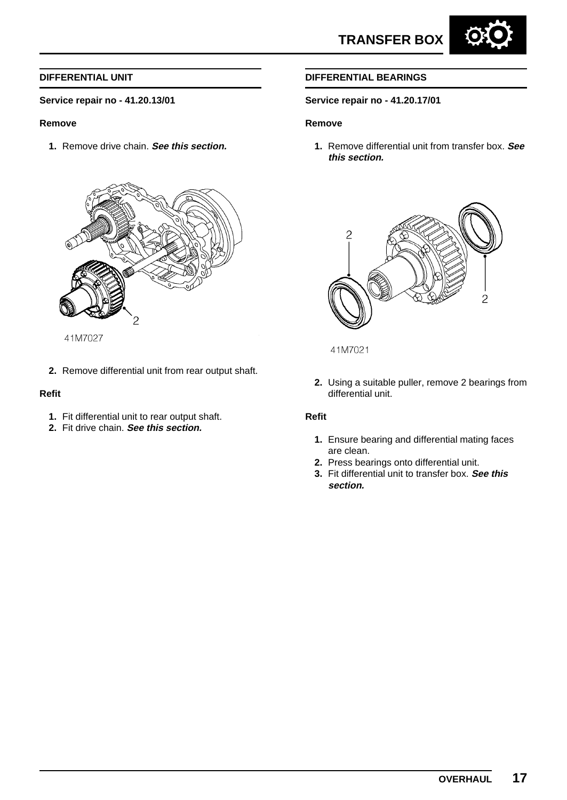

#### **Service repair no - 41.20.13/01**

#### **Remove**

**1.** Remove drive chain. **See this section.**



41M7027

**2.** Remove differential unit from rear output shaft.

#### **Refit**

- **1.** Fit differential unit to rear output shaft.
- **2.** Fit drive chain. **See this section.**

#### **DIFFERENTIAL BEARINGS**

#### **Service repair no - 41.20.17/01**

#### **Remove**

**1.** Remove differential unit from transfer box. **See this section.**



41M7021

**2.** Using a suitable puller, remove 2 bearings from differential unit.

- **1.** Ensure bearing and differential mating faces are clean.
- **2.** Press bearings onto differential unit.
- **3.** Fit differential unit to transfer box. **See this section.**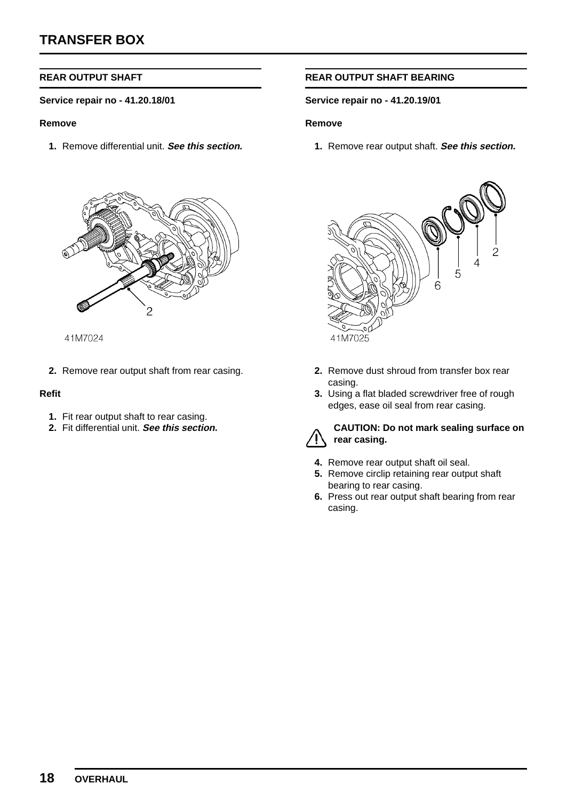#### **REAR OUTPUT SHAFT**

#### **Service repair no - 41.20.18/01**

#### **Remove**

**1.** Remove differential unit. **See this section.**



41M7024

**2.** Remove rear output shaft from rear casing.

#### **Refit**

- **1.** Fit rear output shaft to rear casing.
- **2.** Fit differential unit. **See this section.**

#### **REAR OUTPUT SHAFT BEARING**

#### **Service repair no - 41.20.19/01**

#### **Remove**

**1.** Remove rear output shaft. **See this section.**



- **2.** Remove dust shroud from transfer box rear casing.
- **3.** Using a flat bladed screwdriver free of rough edges, ease oil seal from rear casing.



#### **CAUTION: Do not mark sealing surface on rear casing.**

- **4.** Remove rear output shaft oil seal.
- **5.** Remove circlip retaining rear output shaft bearing to rear casing.
- **6.** Press out rear output shaft bearing from rear casing.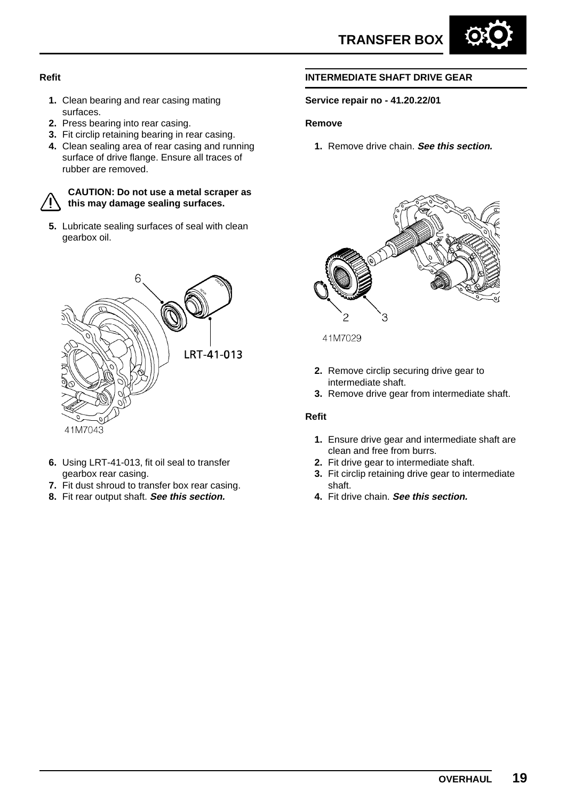

#### **Refit**

- **1.** Clean bearing and rear casing mating surfaces.
- **2.** Press bearing into rear casing.
- **3.** Fit circlip retaining bearing in rear casing.
- **4.** Clean sealing area of rear casing and running surface of drive flange. Ensure all traces of rubber are removed.

#### **CAUTION: Do not use a metal scraper as this may damage sealing surfaces.**

**5.** Lubricate sealing surfaces of seal with clean gearbox oil.



- **6.** Using LRT-41-013, fit oil seal to transfer gearbox rear casing.
- **7.** Fit dust shroud to transfer box rear casing.
- **8.** Fit rear output shaft. **See this section.**

#### **INTERMEDIATE SHAFT DRIVE GEAR**

#### **Service repair no - 41.20.22/01**

#### **Remove**

**1.** Remove drive chain. **See this section.**



41M7029

- **2.** Remove circlip securing drive gear to intermediate shaft.
- **3.** Remove drive gear from intermediate shaft.

- **1.** Ensure drive gear and intermediate shaft are clean and free from burrs.
- **2.** Fit drive gear to intermediate shaft.
- **3.** Fit circlip retaining drive gear to intermediate shaft.
- **4.** Fit drive chain. **See this section.**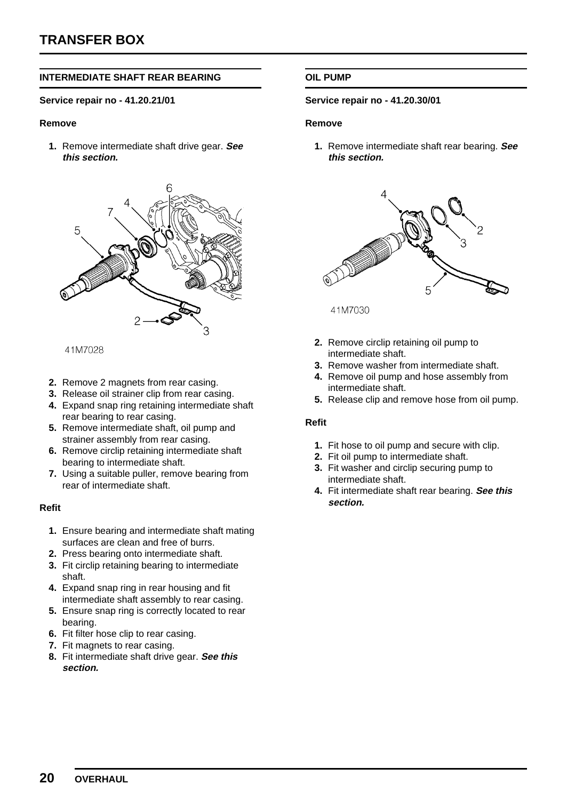#### **INTERMEDIATE SHAFT REAR BEARING**

#### **Service repair no - 41.20.21/01**

#### **Remove**

**1.** Remove intermediate shaft drive gear. **See this section.**



41M7028

- **2.** Remove 2 magnets from rear casing.
- **3.** Release oil strainer clip from rear casing.
- **4.** Expand snap ring retaining intermediate shaft rear bearing to rear casing.
- **5.** Remove intermediate shaft, oil pump and strainer assembly from rear casing.
- **6.** Remove circlip retaining intermediate shaft bearing to intermediate shaft.
- **7.** Using a suitable puller, remove bearing from rear of intermediate shaft.

#### **Refit**

- **1.** Ensure bearing and intermediate shaft mating surfaces are clean and free of burrs.
- **2.** Press bearing onto intermediate shaft.
- **3.** Fit circlip retaining bearing to intermediate shaft.
- **4.** Expand snap ring in rear housing and fit intermediate shaft assembly to rear casing.
- **5.** Ensure snap ring is correctly located to rear bearing.
- **6.** Fit filter hose clip to rear casing.
- **7.** Fit magnets to rear casing.
- **8.** Fit intermediate shaft drive gear. **See this section.**

#### **OIL PUMP**

#### **Service repair no - 41.20.30/01**

#### **Remove**

**1.** Remove intermediate shaft rear bearing. **See this section.**



41M7030

- **2.** Remove circlip retaining oil pump to intermediate shaft.
- **3.** Remove washer from intermediate shaft.
- **4.** Remove oil pump and hose assembly from intermediate shaft.
- **5.** Release clip and remove hose from oil pump.

- **1.** Fit hose to oil pump and secure with clip.
- **2.** Fit oil pump to intermediate shaft.
- **3.** Fit washer and circlip securing pump to intermediate shaft.
- **4.** Fit intermediate shaft rear bearing. **See this section.**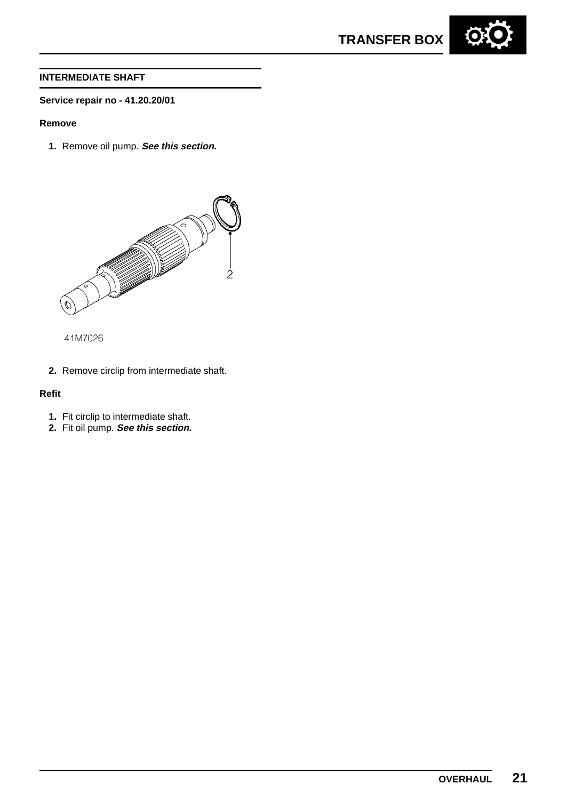



#### **INTERMEDIATE SHAFT**

#### **Service repair no - 41.20.20/01**

#### **Remove**

**1.** Remove oil pump. **See this section.**



41M7026

**2.** Remove circlip from intermediate shaft.

- **1.** Fit circlip to intermediate shaft.
- **2.** Fit oil pump. **See this section.**